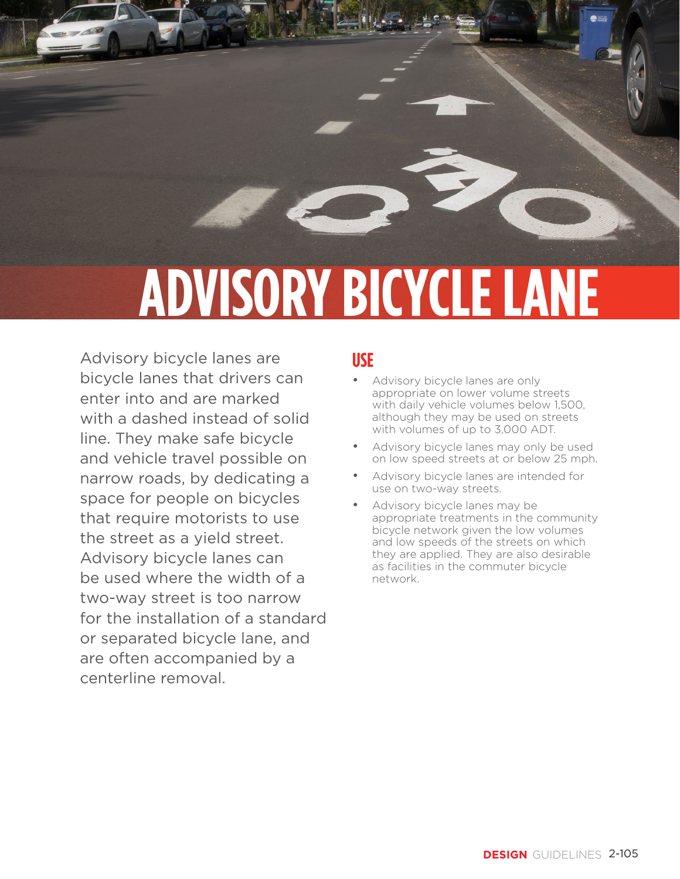

# **ADVISORY BICYCLE LANE**

Advisory bicycle lanes are bicycle lanes that drivers can enter into and are marked with a dashed instead of solid line. They make safe bicycle and vehicle travel possible on narrow roads, by dedicating a space for people on bicycles that require motorists to use the street as a yield street. Advisory bicycle lanes can be used where the width of a two-way street is too narrow for the installation of a standard or separated bicycle lane, and are often accompanied by a centerline removal.

### **USE**

- Advisory bicycle lanes are only appropriate on lower volume streets with daily vehicle volumes below 1,500, although they may be used on streets with volumes of up to 3,000 ADT.
- Advisory bicycle lanes may only be used on low speed streets at or below 25 mph.
- Advisory bicycle lanes are intended for use on two-way streets.
- Advisory bicycle lanes may be appropriate treatments in the community bicycle network given the low volumes and low speeds of the streets on which they are applied. They are also desirable as facilities in the commuter bicycle network.